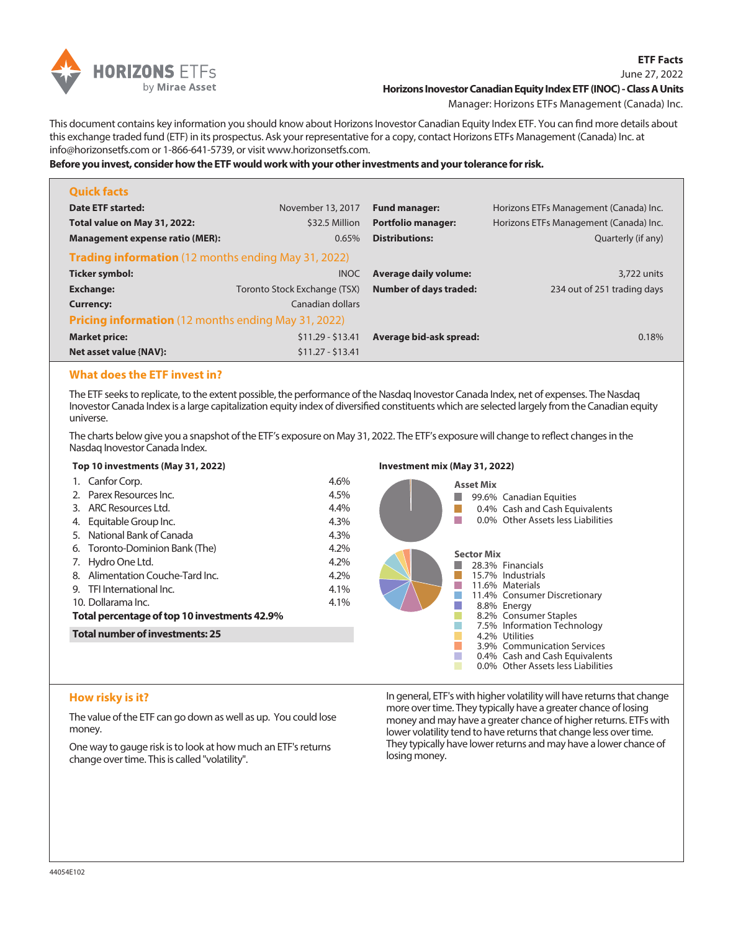

## June 27, 2022 **Horizons Inovestor Canadian Equity Index ETF (INOC) - Class A Units**

Manager: Horizons ETFs Management (Canada) Inc.

**ETF Facts**

This document contains key information you should know about Horizons Inovestor Canadian Equity Index ETF. You can find more details about this exchange traded fund (ETF) in its prospectus. Ask your representative for a copy, contact Horizons ETFs Management (Canada) Inc. at info@horizonsetfs.com or 1-866-641-5739, or visit www.horizonsetfs.com.

**Before you invest, consider how the ETF would work with your other investments and your tolerance for risk.**

| <b>Quick facts</b>                                         |                              |                               |                                        |  |  |  |
|------------------------------------------------------------|------------------------------|-------------------------------|----------------------------------------|--|--|--|
| Date ETF started:                                          | November 13, 2017            | <b>Fund manager:</b>          | Horizons ETFs Management (Canada) Inc. |  |  |  |
| Total value on May 31, 2022:                               | \$32.5 Million               | <b>Portfolio manager:</b>     | Horizons ETFs Management (Canada) Inc. |  |  |  |
| <b>Management expense ratio (MER):</b>                     | 0.65%                        | <b>Distributions:</b>         | Quarterly (if any)                     |  |  |  |
| <b>Trading information</b> (12 months ending May 31, 2022) |                              |                               |                                        |  |  |  |
| Ticker symbol:                                             | <b>INOC</b>                  | <b>Average daily volume:</b>  | 3.722 units                            |  |  |  |
| <b>Exchange:</b>                                           | Toronto Stock Exchange (TSX) | <b>Number of days traded:</b> | 234 out of 251 trading days            |  |  |  |
| <b>Currency:</b>                                           | Canadian dollars             |                               |                                        |  |  |  |
| <b>Pricing information</b> (12 months ending May 31, 2022) |                              |                               |                                        |  |  |  |
| <b>Market price:</b>                                       | $$11.29 - $13.41$            | Average bid-ask spread:       | 0.18%                                  |  |  |  |
| Net asset value {NAV}:                                     | $$11.27 - $13.41$            |                               |                                        |  |  |  |

# **What does the ETF invest in?**

The ETF seeks to replicate, to the extent possible, the performance of the Nasdaq Inovestor Canada Index, net of expenses. The Nasdaq Inovestor Canada Index is a large capitalization equity index of diversified constituents which are selected largely from the Canadian equity universe.

The charts below give you a snapshot of the ETF's exposure on May 31, 2022. The ETF's exposure will change to reflect changes in the Nasdaq Inovestor Canada Index.

### **Top 10 investments (May 31, 2022)**

**Investment mix (May 31, 2022)**



## **How risky is it?**

The value of the ETF can go down as well as up. You could lose money.

One way to gauge risk is to look at how much an ETF's returns change over time. This is called "volatility".

In general, ETF's with higher volatility will have returns that change more over time. They typically have a greater chance of losing money and may have a greater chance of higher returns. ETFs with lower volatility tend to have returns that change less over time. They typically have lower returns and may have a lower chance of losing money.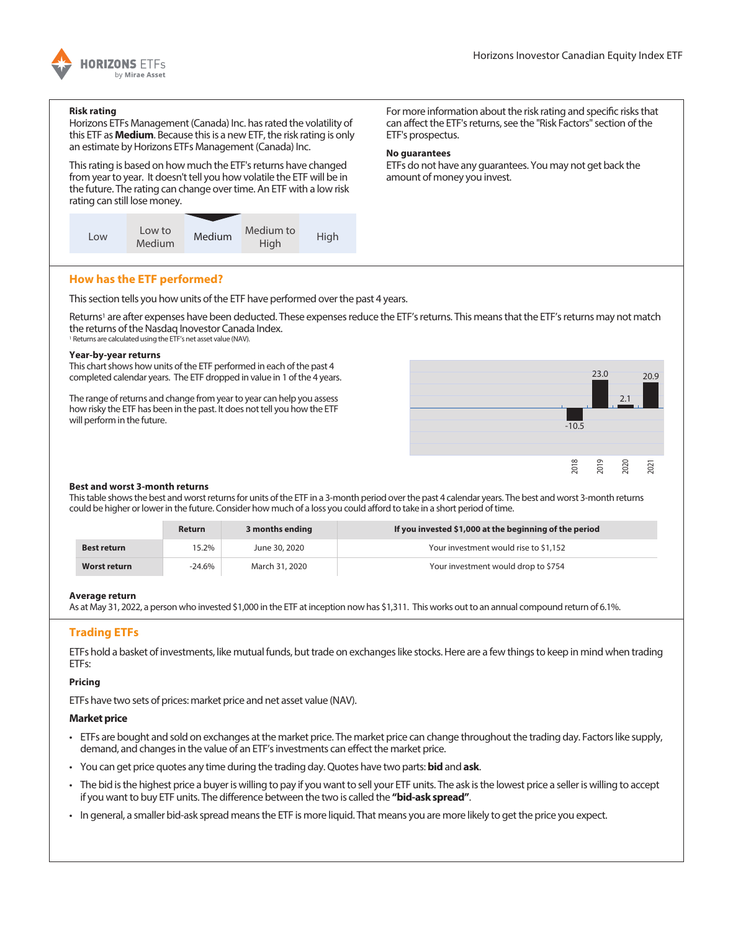

### **Risk rating**

Horizons ETFs Management (Canada) Inc. has rated the volatility of this ETF as **Medium**. Because this is a new ETF, the risk rating is only an estimate by Horizons ETFs Management (Canada) Inc.

This rating is based on how much the ETF's returns have changed from year to year. It doesn't tell you how volatile the ETF will be in the future. The rating can change over time. An ETF with a low risk rating can still lose money.



For more information about the risk rating and specific risks that can affect the ETF's returns, see the "Risk Factors" section of the ETF's prospectus.

### **No guarantees**

ETFs do not have any guarantees. You may not get back the amount of money you invest.

# **How has the ETF performed?**

This section tells you how units of the ETF have performed over the past 4 years.

Returns<sup>1</sup> are after expenses have been deducted. These expenses reduce the ETF's returns. This means that the ETF's returns may not match the returns of the Nasdaq Inovestor Canada Index. <sup>1</sup> Returns are calculated using the ETF's net asset value (NAV).

### **Year-by-year returns**

This chart shows how units of the ETF performed in each of the past 4 completed calendar years. The ETF dropped in value in 1 of the 4 years.

The range of returns and change from year to year can help you assess how risky the ETF has been in the past. It does not tell you how the ETF will perform in the future.



### **Best and worst 3-month returns**

This table shows the best and worst returns for units of the ETF in a 3-month period over the past 4 calendar years. The best and worst 3-month returns could be higher or lower in the future. Consider how much of a loss you could afford to take in a short period of time.

|                    | <b>Return</b> | 3 months ending | If you invested \$1,000 at the beginning of the period |  |
|--------------------|---------------|-----------------|--------------------------------------------------------|--|
| <b>Best return</b> | 15.2%         | June 30, 2020   | Your investment would rise to \$1.152                  |  |
| Worst return       | $-24.6%$      | March 31, 2020  | Your investment would drop to \$754                    |  |

### **Average return**

As at May 31, 2022, a person who invested \$1,000 in the ETF at inception now has \$1,311. This works out to an annual compound return of 6.1%.

# **Trading ETFs**

ETFs hold a basket of investments, like mutual funds, but trade on exchanges like stocks. Here are a few things to keep in mind when trading ETFs:

### **Pricing**

ETFs have two sets of prices: market price and net asset value (NAV).

### **Market price**

- ETFs are bought and sold on exchanges at the market price. The market price can change throughout the trading day. Factors like supply, demand, and changes in the value of an ETF's investments can effect the market price.
- You can get price quotes any time during the trading day. Quotes have two parts: **bid** and **ask**.
- The bid is the highest price a buyer is willing to pay if you want to sell your ETF units. The ask is the lowest price a seller is willing to accept if you want to buy ETF units. The difference between the two is called the **"bid-ask spread"**.
- In general, a smaller bid-ask spread means the ETF is more liquid. That means you are more likely to get the price you expect.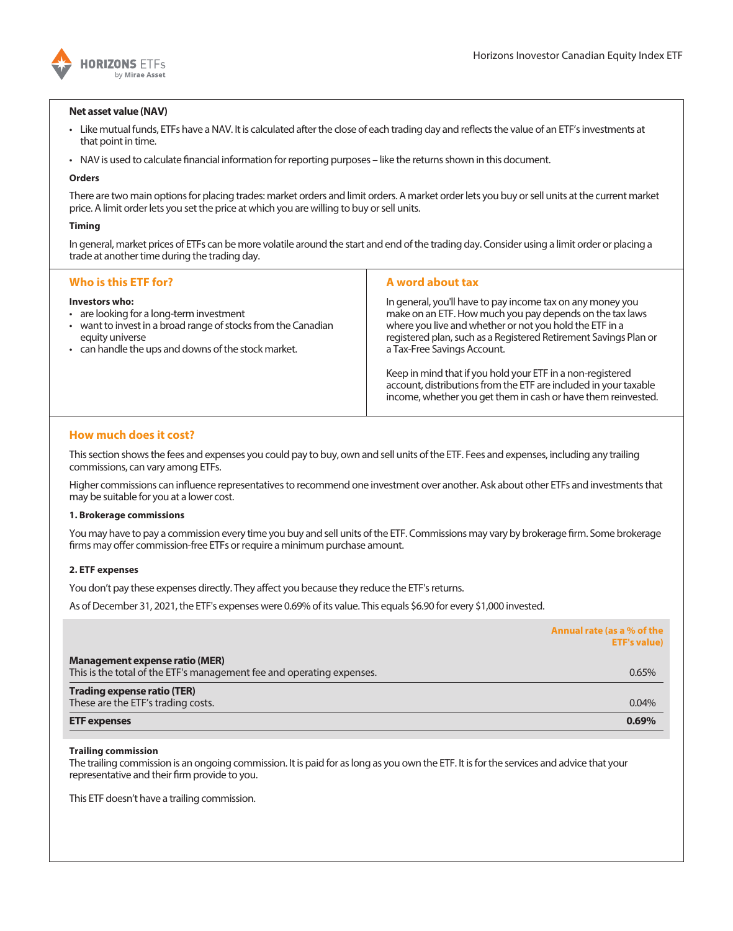

#### **Net asset value (NAV)**

- Like mutual funds, ETFs have a NAV. It is calculated after the close of each trading day and reflects the value of an ETF's investments at that point in time.
- NAV is used to calculate financial information for reporting purposes like the returns shown in this document.

#### **Orders**

There are two main options for placing trades: market orders and limit orders. A market order lets you buy or sell units at the current market price. A limit order lets you set the price at which you are willing to buy or sell units.

#### **Timing**

In general, market prices of ETFs can be more volatile around the start and end of the trading day. Consider using a limit order or placing a trade at another time during the trading day.

| Who is this ETF for?                                                                                                                                                                                  | A word about tax                                                                                                                                                                                                                                                                     |  |
|-------------------------------------------------------------------------------------------------------------------------------------------------------------------------------------------------------|--------------------------------------------------------------------------------------------------------------------------------------------------------------------------------------------------------------------------------------------------------------------------------------|--|
| Investors who:<br>• are looking for a long-term investment<br>• want to invest in a broad range of stocks from the Canadian<br>equity universe<br>• can handle the ups and downs of the stock market. | In general, you'll have to pay income tax on any money you<br>make on an ETF. How much you pay depends on the tax laws<br>where you live and whether or not you hold the ETF in a<br>registered plan, such as a Registered Retirement Savings Plan or<br>a Tax-Free Savings Account. |  |
|                                                                                                                                                                                                       | Keep in mind that if you hold your ETF in a non-registered<br>account, distributions from the ETF are included in your taxable<br>income, whether you get them in cash or have them reinvested.                                                                                      |  |

# **How much does it cost?**

This section shows the fees and expenses you could pay to buy, own and sell units of the ETF. Fees and expenses, including any trailing commissions, can vary among ETFs.

Higher commissions can influence representatives to recommend one investment over another. Ask about other ETFs and investments that may be suitable for you at a lower cost.

#### **1. Brokerage commissions**

You may have to pay a commission every time you buy and sell units of the ETF. Commissions may vary by brokerage firm. Some brokerage firms may offer commission-free ETFs or require a minimum purchase amount.

#### **2. ETF expenses**

You don't pay these expenses directly. They affect you because they reduce the ETF's returns.

As of December 31, 2021, the ETF's expenses were 0.69% of its value. This equals \$6.90 for every \$1,000 invested.

|                                                                                                                | Annual rate (as a % of the<br><b>ETF's value)</b> |
|----------------------------------------------------------------------------------------------------------------|---------------------------------------------------|
| <b>Management expense ratio (MER)</b><br>This is the total of the ETF's management fee and operating expenses. | 0.65%                                             |
| <b>Trading expense ratio (TER)</b><br>These are the ETF's trading costs.                                       | 0.04%                                             |
| <b>ETF</b> expenses                                                                                            | 0.69%                                             |

#### **Trailing commission**

The trailing commission is an ongoing commission. It is paid for as long as you own the ETF. It is for the services and advice that your representative and their firm provide to you.

This ETF doesn't have a trailing commission.